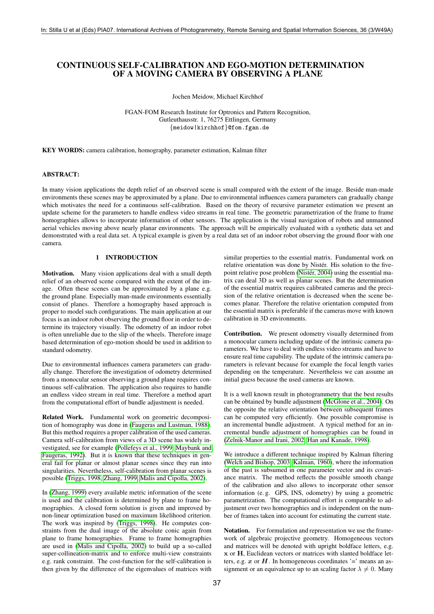# CONTINUOUS SELF-CALIBRATION AND EGO-MOTION DETERMINATION OF A MOVING CAMERA BY OBSERVING A PLANE

Jochen Meidow, Michael Kirchhof

FGAN-FOM Research Institute for Optronics and Pattern Recognition, Gutleuthausstr. 1, 76275 Ettlingen, Germany {meidow|kirchhof}@fom.fgan.de

KEY WORDS: camera calibration, homography, parameter estimation, Kalman filter

# ABSTRACT:

In many vision applications the depth relief of an observed scene is small compared with the extent of the image. Beside man-made environments these scenes may be approximated by a plane. Due to environmental influences camera parameters can gradually change which motivates the need for a continuous self-calibration. Based on the theory of recursive parameter estimation we present an update scheme for the parameters to handle endless video streams in real time. The geometric parametrization of the frame to frame homographies allows to incorporate information of other sensors. The application is the visual navigation of robots and unmanned aerial vehicles moving above nearly planar environments. The approach will be empirically evaluated with a synthetic data set and demonstrated with a real data set. A typical example is given by a real data set of an indoor robot observing the ground floor with one camera.

### 1 INTRODUCTION

Motivation. Many vision applications deal with a small depth relief of an observed scene compared with the extent of the image. Often these scenes can be approximated by a plane e.g. the ground plane. Especially man-made environments essentially consist of planes. Therefore a homography based approach is proper to model such configurations. The main application at our focus is an indoor robot observing the ground floor in order to determine its trajectory visually. The odometry of an indoor robot is often unreliable due to the slip of the wheels. Therefore image based determination of ego-motion should be used in addition to standard odometry.

Due to environmental influences camera parameters can gradually change. Therefore the investigation of odometry determined from a monocular sensor observing a ground plane requires continuous self-calibration. The application also requires to handle an endless video stream in real time. Therefore a method apart from the computational effort of bundle adjustment is needed.

Related Work. Fundamental work on geometric decomposition of homography was done in [\(Faugeras and Lustman, 1988\)](#page-5-0). But this method requires a proper calibration of the used cameras. Camera self-calibration from views of a 3D scene has widely investigated, see for example [\(Pollefeys et al., 1999,](#page-5-1) [Maybank and](#page-5-2) [Faugeras, 1992\)](#page-5-2). But it is known that these techniques in general fail for planar or almost planar scenes since they run into singularities. Nevertheless, self-calibration from planar scenes is possible [\(Triggs, 1998,](#page-5-3) [Zhang, 1999,](#page-5-4) [Malis and Cipolla, 2002\)](#page-5-5).

In [\(Zhang, 1999\)](#page-5-4) every available metric information of the scene is used and the calibration is determined by plane to frame homographies. A closed form solution is given and improved by non-linear optimization based on maximum likelihood criterion. The work was inspired by [\(Triggs, 1998\)](#page-5-3). He computes constraints from the dual image of the absolute conic again from plane to frame homographies. Frame to frame homographies are used in [\(Malis and Cipolla, 2002\)](#page-5-5) to build up a so-called super-collineation-matrix and to enforce multi-view constraints e.g. rank constraint. The cost-function for the self-calibration is then given by the difference of the eigenvalues of matrices with

similar properties to the essential matrix. Fundamental work on relative orientation was done by Nistér. His solution to the fivepoint relative pose problem (Nistér, 2004) using the essential matrix can deal 3D as well as planar scenes. But the determination of the essential matrix requires calibrated cameras and the precision of the relative orientation is decreased when the scene becomes planar. Therefore the relative orientation computed from the essential matrix is preferable if the cameras move with known calibration in 3D environments.

Contribution. We present odometry visually determined from a monocular camera including update of the intrinsic camera parameters. We have to deal with endless video streams and have to ensure real time capability. The update of the intrinsic camera parameters is relevant because for example the focal length varies depending on the temperature. Nevertheless we can assume an initial guess because the used cameras are known.

It is a well known result in photogrammetry that the best results can be obtained by bundle adjustment [\(McGlone et al., 2004\)](#page-5-7). On the opposite the relative orientation between subsequent frames can be computed very efficiently. One possible compromise is an incremental bundle adjustment. A typical method for an incremental bundle adjustment of homographies can be found in [\(Zelnik-Manor and Irani, 2002,](#page-5-8) [Han and Kanade, 1998\)](#page-5-9).

We introduce a different technique inspired by Kalman filtering [\(Welch and Bishop, 2003,](#page-5-10) [Kalman, 1960\)](#page-5-11), where the information of the past is subsumed in one parameter vector and its covariance matrix. The method reflects the possible smooth change of the calibration and also allows to incorporate other sensor information (e. g. GPS, INS, odometry) by using a geometric parametrization. The computational effort is comparable to adjustment over two homographies and is independent on the number of frames taken into account for estimating the current state.

Notation. For formulation and representation we use the framework of algebraic projective geometry. Homogeneous vectors and matrices will be denoted with upright boldface letters, e.g. x or H, Euclidean vectors or matrices with slanted boldface letters, e.g.  $x$  or  $H$ . In homogeneous coordinates '=' means an assignment or an equivalence up to an scaling factor  $\lambda \neq 0$ . Many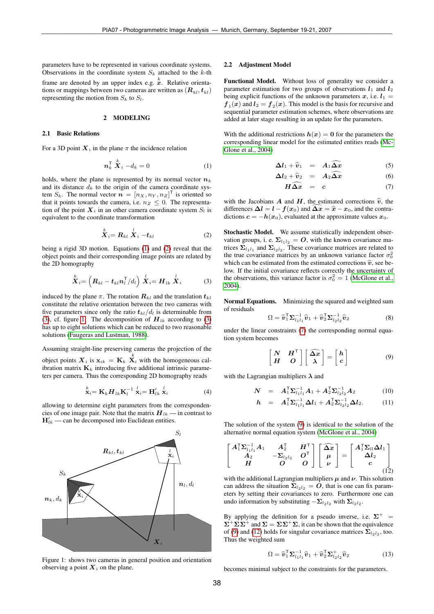parameters have to be represented in various coordinate systems. Observations in the coordinate system  $S_k$  attached to the k-th frame are denoted by an upper index e.g.  $\stackrel{k}{x}$ . Relative orientations or mappings between two cameras are written as  $(R_{kl}, t_{kl})$ representing the motion from  $S_k$  to  $S_l$ .

## 2 MODELING

### 2.1 Basic Relations

For a 3D point  $X_i$  in the plane  $\pi$  the incidence relation

<span id="page-1-0"></span>
$$
\boldsymbol{n}_k^{\mathsf{T}} \stackrel{k}{\boldsymbol{X}}_i - d_k = 0 \tag{1}
$$

holds, where the plane is represented by its normal vector  $n_k$ and its distance  $d_k$  to the origin of the camera coordinate system  $S_k$ . The normal vector  $\mathbf{n} = [n_X, n_Y, n_Z]^\mathsf{T}$  is oriented so that it points towards the camera, i.e.  $n_Z \leq 0$ . The representation of the point  $X_i$  in an other camera coordinate system  $S_i$  is equivalent to the coordinate transformation

<span id="page-1-1"></span>
$$
\stackrel{k}{X}_i = R_{kl} \stackrel{l}{X}_i - t_{kl} \tag{2}
$$

being a rigid 3D motion. Equations [\(1\)](#page-1-0) and [\(2\)](#page-1-1) reveal that the object points and their corresponding image points are related by the 2D homography

<span id="page-1-2"></span>
$$
\stackrel{k}{X}_i = \left( \boldsymbol{R}_{kl} - \boldsymbol{t}_{kl} \boldsymbol{n}_l^\mathsf{T} / d_l \right) \stackrel{l}{X}_i = \boldsymbol{H}_{lk} \stackrel{l}{X}_i \tag{3}
$$

induced by the plane  $\pi$ . The rotation  $\mathbf{R}_{kl}$  and the translation  $t_{kl}$ constitute the relative orientation between the two cameras with five parameters since only the ratio  $t_{kl}/d_l$  is determinable from [\(3\)](#page-1-2), cf. figure [1.](#page-1-3) The decomposition of  $H_{lk}$  according to (3) has up to eight solutions which can be reduced to two reasonable solutions [\(Faugeras and Lustman, 1988\)](#page-5-0).

Assuming straight-line preserving cameras the projection of the object points  $X_i$  is  $x_{ik} = K_k \overline{X}_i$  with the homogeneous calibration matrix  $\mathbf{K}_k$  introducing five additional intrinsic parameters per camera. Thus the corresponding 2D homography reads

<span id="page-1-7"></span>
$$
\stackrel{k}{\mathbf{x}}_{i} = \mathbf{K}_{k} \mathbf{H}_{lk} \mathbf{K}_{l}^{-1} \stackrel{l}{\mathbf{x}}_{i} = \mathbf{H}_{lk}^{l} \stackrel{l}{\mathbf{x}}_{i}
$$
(4)

allowing to determine eight parameters from the correspondencies of one image pair. Note that the matrix  $H_{lk}$  — in contrast to  $H'_{lk}$  — can be decomposed into Euclidean entities.



<span id="page-1-3"></span>Figure 1: shows two cameras in general position and orientation observing a point  $X_i$  on the plane.

#### 2.2 Adjustment Model

Functional Model. Without loss of generality we consider a parameter estimation for two groups of observations  $l_1$  and  $l_2$ being explicit functions of the unknown parameters x, i.e.  $l_1$  =  $f_1(x)$  and  $l_2 = f_2(x)$ . This model is the basis for recursive and sequential parameter estimation schemes, where observations are added at later stage resulting in an update for the parameters.

With the additional restrictions  $h(x) = 0$  for the parameters the corresponding linear model for the estimated entities reads [\(Mc-](#page-5-7)[Glone et al., 2004\)](#page-5-7)

$$
\Delta l_1 + \widehat{v}_1 = A_1 \widehat{\Delta x} \tag{5}
$$

<span id="page-1-4"></span>
$$
\Delta l_2 + \widehat{v}_2 = A_2 \widehat{\Delta x} \tag{6}
$$

$$
H\widehat{\Delta x} = c \tag{7}
$$

with the Jacobians A and H, the estimated corrections  $\hat{v}$ , the differences  $\Delta l = l - f(x_0)$  and  $\Delta x = \hat{x} - x_0$ , and the contradictions  $c = -h(x_0)$ , evaluated at the approximate values  $x_0$ .

Stochastic Model. We assume statistically independent observation groups, i. e.  $\Sigma_{l_1l_2} = O$ , with the known covariance matrices  $\Sigma_{l_1 l_1}$  and  $\Sigma_{l_2 l_2}$ . These covariance matrices are related to the true covariance matrices by an unknown variance factor  $\sigma_0^2$ which can be estimated from the estimated corrections  $\hat{v}$ , see below. If the initial covariance reflects correctly the uncertainty of the observations, this variance factor is  $\sigma_0^2 = 1$  [\(McGlone et al.,](#page-5-7) [2004\)](#page-5-7).

Normal Equations. Minimizing the squared and weighted sum of residuals

$$
\Omega = \widehat{\boldsymbol{v}}_1^{\mathsf{T}} \boldsymbol{\Sigma}_{l_1 l_1}^{-1} \widehat{\boldsymbol{v}}_1 + \widehat{\boldsymbol{v}}_2^{\mathsf{T}} \boldsymbol{\Sigma}_{l_2 l_2}^{-1} \widehat{\boldsymbol{v}}_2 \tag{8}
$$

under the linear constraints [\(7\)](#page-1-4) the corresponding normal equation system becomes

<span id="page-1-5"></span>
$$
\begin{bmatrix} N & H^{\top} \\ H & O \end{bmatrix} \begin{bmatrix} \widehat{\Delta x} \\ \lambda \end{bmatrix} = \begin{bmatrix} h \\ c \end{bmatrix}
$$
 (9)

with the Lagrangian multipliers  $\lambda$  and

$$
\mathbf{N} = \mathbf{A}_{1}^{\mathsf{T}} \mathbf{\Sigma}_{l_{1}l_{1}}^{-1} \mathbf{A}_{1} + \mathbf{A}_{2}^{\mathsf{T}} \mathbf{\Sigma}_{l_{2}l_{2}}^{-1} \mathbf{A}_{2} \tag{10}
$$

$$
h = A_1^{\mathsf{T}} \Sigma_{l_1 l_1}^{-1} \Delta l_1 + A_2^{\mathsf{T}} \Sigma_{l_2 l_2}^{-1} \Delta l_2. \tag{11}
$$

The solution of the system [\(9\)](#page-1-5) is identical to the solution of the alternative normal equation system [\(McGlone et al., 2004\)](#page-5-7)

<span id="page-1-6"></span>
$$
\begin{bmatrix} A_1^{\mathsf{T}} \Sigma_{l_1 l_1}^{-1} A_1 & A_2^{\mathsf{T}} & H^{\mathsf{T}} \\ A_2 & -\Sigma_{l_2 l_2} & O^{\mathsf{T}} \\ H & O & O \end{bmatrix} \begin{bmatrix} \widehat{\Delta x} \\ \mu \\ \nu \end{bmatrix} = \begin{bmatrix} A_1^{\mathsf{T}} \Sigma_{l l} \Delta l_1 \\ \Delta l_2 \\ c \end{bmatrix}
$$
(12)

with the additional Lagrangian multipliers  $\mu$  and  $\nu$ . This solution can address the situation  $\Sigma_{l_2l_2} = O$ , that is one can fix parameters by setting their covariances to zero. Furthermore one can undo information by substituting  $-\Sigma_{l_2l_2}$  with  $\Sigma_{l_2l_2}$ .

By applying the definition for a pseudo inverse, i.e.  $\Sigma^+$  =  $\Sigma^+ \Sigma \Sigma^+$  and  $\Sigma = \Sigma \Sigma^+ \Sigma$ , it can be shown that the equivalence of [\(9\)](#page-1-5) and [\(12\)](#page-1-6) holds for singular covariance matrices  $\Sigma_{l_2l_2}$ , too. Thus the weighted sum

$$
\Omega = \widehat{\boldsymbol{v}}_1^{\mathsf{T}} \boldsymbol{\Sigma}_{l_1 l_1}^{-1} \widehat{\boldsymbol{v}}_1 + \widehat{\boldsymbol{v}}_2^{\mathsf{T}} \boldsymbol{\Sigma}_{l_2 l_2}^{+} \widehat{\boldsymbol{v}}_2 \tag{13}
$$

becomes minimal subject to the constraints for the parameters.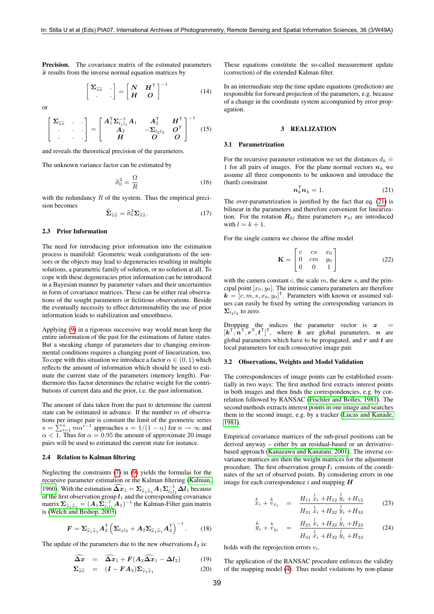Precision. The covariance matrix of the estimated parameters  $\hat{x}$  results from the inverse normal equation matrices by

<span id="page-2-2"></span>
$$
\begin{bmatrix} \Sigma_{\widehat{x}\widehat{x}} & \cdot \\ \cdot & \cdot \end{bmatrix} = \begin{bmatrix} N & H^{\mathsf{T}} \\ H & O \end{bmatrix}^{-1} \tag{14}
$$

or

<span id="page-2-3"></span>
$$
\begin{bmatrix} \Sigma_{\widehat{x}\widehat{x}} & \cdot & \cdot \\ \cdot & \cdot & \cdot \\ \cdot & \cdot & \cdot \end{bmatrix} = \begin{bmatrix} A_1^{\mathsf{T}} \Sigma_{l_1 l_1}^{-1} A_1 & A_2^{\mathsf{T}} & H^{\mathsf{T}} \\ A_2 & -\Sigma_{l_2 l_2} & O^{\mathsf{T}} \\ H & O & O \end{bmatrix}^{-1}
$$
(15)

and reveals the theoretical precision of the parameters.

The unknown variance factor can be estimated by

<span id="page-2-1"></span>
$$
\hat{\sigma}_0^2 = \frac{\Omega}{R} \tag{16}
$$

with the redundancy  $R$  of the system. Thus the empirical precision becomes

$$
\hat{\Sigma}_{\hat{x}\hat{x}} = \hat{\sigma}_0^2 \Sigma_{\hat{x}\hat{x}}.\tag{17}
$$

#### 2.3 Prior Information

The need for introducing prior information into the estimation process is manifold: Geometric weak configurations of the sensors or the objects may lead to degeneracies resulting in multiple solutions, a parametric family of solution, or no solution at all. To cope with these degeneracies prior information can be introduced in a Bayesian manner by parameter values and their uncertainties in form of covariance matrices. These can be either real observations of the sought parameters or fictitious observations. Beside the eventually necessity to effect determinability the use of prior information leads to stabilization and smoothness.

Applying [\(9\)](#page-1-5) in a rigorous successive way would mean keep the entire information of the past for the estimations of future states. But a sneaking change of parameters due to changing environmental conditions requires a changing point of linearization, too. To cope with this situation we introduce a factor  $\alpha \in (0,1)$  which reflects the amount of information which should be used to estimate the current state of the parameters (memory length). Furthermore this factor determines the relative weight for the contributions of current data and the prior, i.e. the past information.

The amount of data taken from the past to determine the current state can be estimated in advance. If the number  $m$  of observations per image pair is constant the limit of the geometric series  $s = \sum_{i=1}^{n} m \alpha^{i-1}$  approaches  $s = 1/(1 - \alpha)$  for  $n \to \infty$  and  $\alpha$  < 1. Thus for  $\alpha$  = 0.95 the amount of approximate 20 image pairs will be used to estimated the current state for instance.

#### 2.4 Relation to Kalman filtering

Neglecting the constraints [\(7\)](#page-1-4) in [\(9\)](#page-1-5) yields the formulas for the recursive parameter estimation or the Kalman filtering [\(Kalman,](#page-5-11) [1960\)](#page-5-11). With the estimation  $\widehat{\Delta x}_1 = \sum_{\hat{x}_1 \hat{x}_1} A_1 \sum_{l_1 l_1}^{-1} \Delta l_1$  because of the first observation group  $l_1$  and the corresponding covariance matrix  $\Sigma_{\hat{x}_1 \hat{x}_1} = (A_1 \Sigma_{l_1 l_1}^{-1} A_1)^{-1}$  the Kalman-Filter gain matrix<br>is (Welch and Bishop 2003) is [\(Welch and Bishop, 2003\)](#page-5-10)

$$
\boldsymbol{F} = \boldsymbol{\Sigma}_{\widehat{x}_1\widehat{x}_1} \boldsymbol{A}_2^{\mathsf{T}} \left( \boldsymbol{\Sigma}_{l_2 l_2} + \boldsymbol{A}_2 \boldsymbol{\Sigma}_{\widehat{x}_1 \widehat{x}_1} \boldsymbol{A}_2^{\mathsf{T}} \right)^{-1} . \qquad (18)
$$

The update of the parameters due to the new observations  $l_2$  is:

$$
\widehat{\Delta x} = \widehat{\Delta x}_1 + F(A_2 \widehat{\Delta x}_1 - \Delta l_2) \tag{19}
$$

$$
\Sigma_{\hat{x}\hat{x}} = (I - FA_2) \Sigma_{\hat{x}_1 \hat{x}_1}
$$
 (20)

These equations constitute the so-called measurement update (correction) of the extended Kalman filter.

In an intermediate step the time update equations (prediction) are responsible for forward projection of the parameters, e.g. because of a change in the coordinate system accompanied by error propagation.

### 3 REALIZATION

#### 3.1 Parametrization

For the recursive parameter estimation we set the distances  $d_k \doteq$ 1 for all pairs of images. For the plane normal vectors  $n_k$  we assume all three components to be unknown and introduce the (hard) constraint

<span id="page-2-0"></span>
$$
n_k^{\mathsf{T}} n_k = 1. \tag{21}
$$

The over-parametrization is justified by the fact that eq. [\(21\)](#page-2-0) is bilinear in the parameters and therefore convenient for linearization. For the rotation  $R_{kl}$  three parameters  $r_{kl}$  are introduced with  $l = k + 1$ .

For the single camera we choose the affine model

$$
\mathbf{K} = \begin{bmatrix} c & cs & x_0 \\ 0 & cm & y_0 \\ 0 & 0 & 1 \end{bmatrix}
$$
 (22)

with the camera constant  $c$ , the scale  $m$ , the skew  $s$ , and the principal point  $[x_0, y_0]$ . The intrinsic camera parameters are therefore  $\mathbf{k} = [c, m, s, x_0, y_0]^\mathsf{T}$ . Parameters with known or assumed values can easily be fixed by setting the corresponding variances in  $\Sigma_{l_2l_2}$  to zero.

Dropping the indices the parameter vector is  $x$  $[k^{\mathsf{T}}, n^{\mathsf{T}}, r^{\mathsf{T}}, t^{\mathsf{T}}]^{\mathsf{T}}$ , where k are global parameters, n are global parameters which have to be propagated, and  $r$  and  $t$  are local parameters for each consecutive image pair.

# <span id="page-2-4"></span>3.2 Observations, Weights and Model Validation

The correspondencies of image points can be established essentially in two ways: The first method first extracts interest points in both images and then finds the correspondencies, e.g. by correlation followed by RANSAC [\(Fischler and Bolles, 1981\)](#page-5-12). The second methods extracts interest points in one image and searches them in the second image, e.g. by a tracker [\(Lucas and Kanade,](#page-5-13) [1981\)](#page-5-13).

Empirical covariance matrices of the sub-pixel positions can be derived anyway – either by an residual-based or an derivativebased approach [\(Kanazawa and Kanatani, 2001\)](#page-5-14). The inverse covariance matrices are then the weight matrices for the adjustment procedure. The first observation group  $l_1$  consists of the coordinates of the set of observed points. By considering errors in one image for each correspondence  $i$  and mapping  $H$ 

$$
\begin{array}{rcl}\n\frac{k}{x_i} + \frac{k}{v_{x_i}} & = & \frac{H_{11} \frac{l}{x_i} + H_{12} \frac{l}{y_i} + H_{13}}{H_{31} \frac{l}{x_i} + H_{32} \frac{l}{y_i} + H_{33}}\n\end{array}\n\tag{23}
$$

$$
\stackrel{k}{y}_i + \stackrel{k}{v}_{y_i} = \frac{H_{21} \stackrel{l}{x}_i + H_{22} \stackrel{l}{y}_i + H_{23}}{H_{31} \stackrel{l}{x}_i + H_{32} \stackrel{l}{y}_i + H_{33}} \tag{24}
$$

holds with the reprojection errors  $v_i$ .

The application of the RANSAC procedure enforces the validity of the mapping model [\(4\)](#page-1-7). Thus model violations by non-planar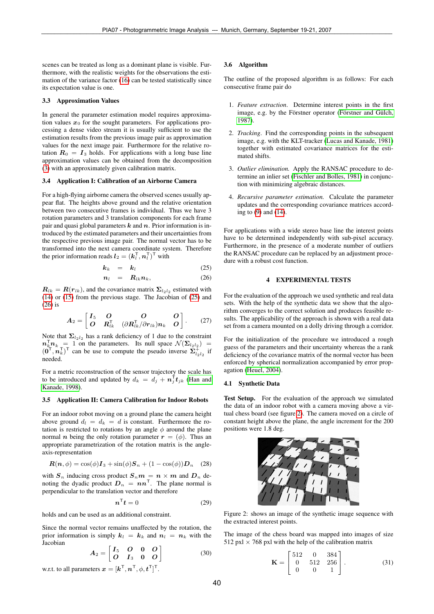scenes can be treated as long as a dominant plane is visible. Furthermore, with the realistic weights for the observations the estimation of the variance factor [\(16\)](#page-2-1) can be tested statistically since its expectation value is one.

### 3.3 Approximation Values

In general the parameter estimation model requires approximation values  $x_0$  for the sought parameters. For applications processing a dense video stream it is usually sufficient to use the estimation results from the previous image pair as approximation values for the next image pair. Furthermore for the relative rotation  $R_0 = I_3$  holds. For applications with a long base line approximation values can be obtained from the decomposition [\(3\)](#page-1-2) with an approximately given calibration matrix.

#### 3.4 Application I: Calibration of an Airborne Camera

For a high-flying airborne camera the observed scenes usually appear flat. The heights above ground and the relative orientation between two consecutive frames is individual. Thus we have 3 rotation parameters and 3 translation components for each frame pair and quasi global parameters  $k$  and  $n$ . Prior information is introduced by the estimated parameters and their uncertainties from the respective previous image pair. The normal vector has to be transformed into the next camera coordinate system. Therefore the prior information reads  $l_2 = (k_l^{\mathsf{T}}, n_l^{\mathsf{T}})^{\mathsf{T}}$  with

$$
k_k = k_l \tag{25}
$$

<span id="page-3-0"></span>
$$
n_l = R_{lk} n_k, \t\t(26)
$$

 $R_{lk} = R(r_{lk})$ , and the covariance matrix  $\Sigma_{l_2 l_2}$  estimated with [\(14\)](#page-2-2) or [\(15\)](#page-2-3) from the previous stage. The Jacobian of [\(25\)](#page-3-0) and [\(26\)](#page-3-0) is

$$
A_2 = \begin{bmatrix} I_5 & O & O & O \\ O & R_{lk}^{\mathsf{T}} & (\partial R_{lk}^{\mathsf{T}}/\partial r_{lk}) n_k & O \end{bmatrix}.
$$
 (27)

Note that  $\Sigma_{l_2l_2}$  has a rank deficiency of 1 due to the constraint  $n_k^{\mathsf{T}} n_k = 1$  on the parameters. Its null space  $\mathcal{N}(\Sigma_{l_2 l_2}) =$  $(0^{\mathsf{T}}, n_k^{\mathsf{T}})^{\mathsf{T}}$  can be use to compute the pseudo inverse  $\sum_{l_2 l_2}^{\mathsf{T}}$  if needed.

For a metric reconstruction of the sensor trajectory the scale has to be introduced and updated by  $d_k = d_j + n_j^{\mathsf{T}} t_{jk}$  [\(Han and](#page-5-9) [Kanade, 1998\)](#page-5-9).

#### 3.5 Application II: Camera Calibration for Indoor Robots

For an indoor robot moving on a ground plane the camera height above ground  $d_l = d_k = d$  is constant. Furthermore the rotation is restricted to rotations by an angle  $\phi$  around the plane normal *n* being the only rotation parameter  $r = (\phi)$ . Thus an appropriate parametrization of the rotation matrix is the angleaxis-representation

$$
\mathbf{R}(\mathbf{n},\phi) = \cos(\phi)\mathbf{I}_3 + \sin(\phi)\mathbf{S}_n + (1 - \cos(\phi))\mathbf{D}_n \quad (28)
$$

with  $S_n$  inducing cross product  $S_n m = n \times m$  and  $D_n$  denoting the dyadic product  $D_n = nn^{\top}$ . The plane normal is perpendicular to the translation vector and therefore

$$
\boldsymbol{n}^{\top}\boldsymbol{t} = 0 \tag{29}
$$

holds and can be used as an additional constraint.

Since the normal vector remains unaffected by the rotation, the prior information is simply  $k_l = k_k$  and  $n_l = n_k$  with the Jacobian

$$
A_2 = \begin{bmatrix} I_5 & O & 0 & O \\ O & I_3 & 0 & O \end{bmatrix} \tag{30}
$$

w.r.t. to all parameters  $\boldsymbol{x} = [\boldsymbol{k}^\mathsf{T}, \boldsymbol{n}^\mathsf{T}, \phi, \boldsymbol{t}^\mathsf{T}]^\mathsf{T}.$ 

#### 3.6 Algorithm

The outline of the proposed algorithm is as follows: For each consecutive frame pair do

- 1. *Feature extraction*. Determine interest points in the first image, e.g. by the Förstner operator (Förstner and Gülch, [1987\)](#page-5-15).
- 2. *Tracking*. Find the corresponding points in the subsequent image, e.g. with the KLT-tracker [\(Lucas and Kanade, 1981\)](#page-5-13) together with estimated covariance matrices for the estimated shifts.
- 3. *Outlier elimination.* Apply the RANSAC procedure to determine an inlier set [\(Fischler and Bolles, 1981\)](#page-5-12) in conjunction with minimizing algebraic distances.
- 4. *Recursive parameter estimation.* Calculate the parameter updates and the corresponding covariance matrices according to [\(9\)](#page-1-5) and [\(14\)](#page-2-2).

For applications with a wide stereo base line the interest points have to be determined independently with sub-pixel accuracy. Furthermore, in the presence of a moderate number of outliers the RANSAC procedure can be replaced by an adjustment procedure with a robust cost function.

# 4 EXPERIMENTAL TESTS

For the evaluation of the approach we used synthetic and real data sets. With the help of the synthetic data we show that the algorithm converges to the correct solution and produces feasible results. The applicability of the approach is shown with a real data set from a camera mounted on a dolly driving through a corridor.

For the initialization of the procedure we introduced a rough guess of the parameters and their uncertainty whereas the a rank deficiency of the covariance matrix of the normal vector has been enforced by spherical normalization accompanied by error propagation [\(Heuel, 2004\)](#page-5-16).

#### 4.1 Synthetic Data

Test Setup. For the evaluation of the approach we simulated the data of an indoor robot with a camera moving above a virtual chess board (see figure [2\)](#page-3-1). The camera moved on a circle of constant height above the plane, the angle increment for the 200 positions were 1.8 deg.



Figure 2: shows an image of the synthetic image sequence with the extracted interest points.

<span id="page-3-1"></span>The image of the chess board was mapped into images of size 512 pxl  $\times$  768 pxl with the help of the calibration matrix

<span id="page-3-2"></span>
$$
\mathbf{K} = \begin{bmatrix} 512 & 0 & 384 \\ 0 & 512 & 256 \\ 0 & 0 & 1 \end{bmatrix} . \tag{31}
$$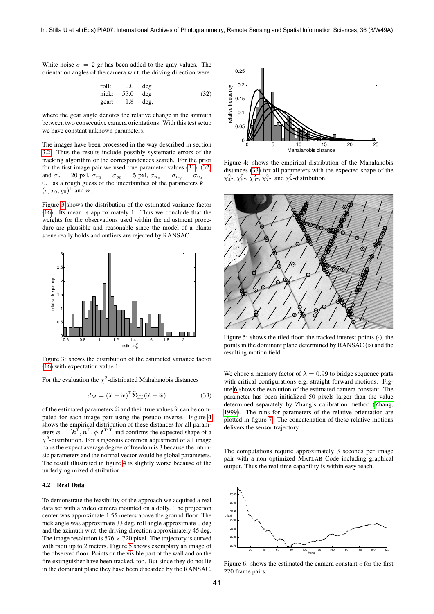White noise  $\sigma = 2$  gr has been added to the gray values. The orientation angles of the camera w.r.t. the driving direction were

<span id="page-4-0"></span>roll: 0.0 deg nick: 55.0 deg gear: 1.8 deg, (32)

where the gear angle denotes the relative change in the azimuth between two consecutive camera orientations. With this test setup we have constant unknown parameters.

The images have been processed in the way described in section [3.2.](#page-2-4) Thus the results include possibly systematic errors of the tracking algorithm or the correspondences search. For the prior for the first image pair we used true parameter values [\(31\)](#page-3-2), [\(32\)](#page-4-0) and  $\sigma_c = 20$  pxl,  $\sigma_{x_0} = \sigma_{y_0} = 5$  pxl,  $\sigma_{n_x} = \sigma_{n_y} = \sigma_{n_z} =$ 0.1 as a rough guess of the uncertainties of the parameters  $k =$  $(c, x_0, y_0)^\mathsf{T}$  and  $\boldsymbol{n}$ .

Figure [3](#page-4-1) shows the distribution of the estimated variance factor [\(16\)](#page-2-1). Its mean is approximately 1. Thus we conclude that the weights for the observations used within the adjustment procedure are plausible and reasonable since the model of a planar scene really holds and outliers are rejected by RANSAC.



<span id="page-4-1"></span>Figure 3: shows the distribution of the estimated variance factor [\(16\)](#page-2-1) with expectation value 1.

For the evaluation the  $\chi^2$ -distributed Mahalanobis distances

<span id="page-4-4"></span>
$$
d_M = (\widehat{\mathbf{x}} - \widetilde{\mathbf{x}})^{\mathsf{T}} \widehat{\boldsymbol{\Sigma}}_{\widehat{x}\widehat{x}}^+ (\widehat{\mathbf{x}} - \widetilde{\mathbf{x}}) \tag{33}
$$

of the estimated parameters  $\hat{x}$  and their true values  $\tilde{x}$  can be computed for each image pair using the pseudo inverse. Figure [4](#page-4-2) shows the empirical distribution of these distances for all parameters  $\boldsymbol{x} = [\boldsymbol{k}^\top, \boldsymbol{n}^\top, \phi, \boldsymbol{t}^\top]^\top$  and confirms the expected shape of a  $\chi^2$ -distribution. For a rigorous common adjustment of all image pairs the expect average degree of freedom is 3 because the intrinsic parameters and the normal vector would be global parameters. The result illustrated in figure [4](#page-4-2) is slightly worse because of the underlying mixed distribution.

# 4.2 Real Data

To demonstrate the feasibility of the approach we acquired a real data set with a video camera mounted on a dolly. The projection center was approximate 1.55 meters above the ground floor. The nick angle was approximate 33 deg, roll angle approximate 0 deg and the azimuth w.r.t. the driving direction approximately 45 deg. The image resolution is  $576 \times 720$  pixel. The trajectory is curved with radii up to 2 meters. Figure [5](#page-4-3) shows exemplary an image of the observed floor. Points on the visible part of the wall and on the fire extinguisher have been tracked, too. But since they do not lie in the dominant plane they have been discarded by the RANSAC.



<span id="page-4-2"></span>Figure 4: shows the empirical distribution of the Mahalanobis distances [\(33\)](#page-4-4) for all parameters with the expected shape of the  $\chi^2_4$ -,  $\chi^2_5$ -,  $\chi^2_6$ -,  $\chi^2_7$ -, and  $\chi^2_8$ -distribution.



<span id="page-4-3"></span>Figure 5: shows the tiled floor, the tracked interest points  $(·)$ , the points in the dominant plane determined by RANSAC  $( \circ )$  and the resulting motion field.

We chose a memory factor of  $\lambda = 0.99$  to bridge sequence parts with critical configurations e.g. straight forward motions. Figure [6](#page-4-5) shows the evolution of the estimated camera constant. The parameter has been initialized 50 pixels larger than the value determined separately by Zhang's calibration method [\(Zhang,](#page-5-4) [1999\)](#page-5-4). The runs for parameters of the relative orientation are plotted in figure [7.](#page-5-17) The concatenation of these relative motions delivers the sensor trajectory.

The computations require approximately 3 seconds per image pair with a non optimized MATLAB Code including graphical output. Thus the real time capability is within easy reach.



<span id="page-4-5"></span>Figure 6: shows the estimated the camera constant  $c$  for the first 220 frame pairs.